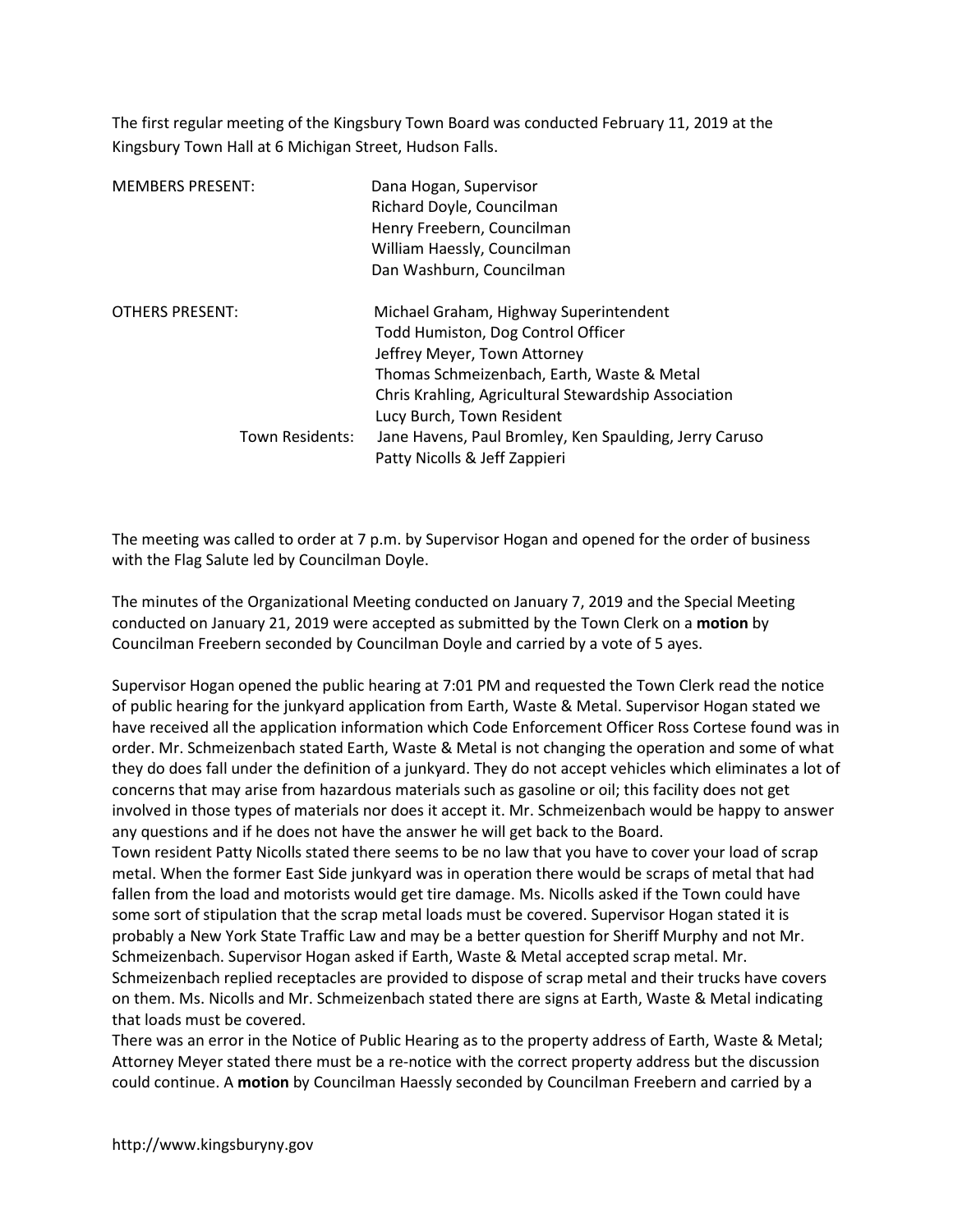The first regular meeting of the Kingsbury Town Board was conducted February 11, 2019 at the Kingsbury Town Hall at 6 Michigan Street, Hudson Falls.

| <b>MEMBERS PRESENT:</b> | Dana Hogan, Supervisor<br>Richard Doyle, Councilman<br>Henry Freebern, Councilman<br>William Haessly, Councilman<br>Dan Washburn, Councilman                                                                                                    |
|-------------------------|-------------------------------------------------------------------------------------------------------------------------------------------------------------------------------------------------------------------------------------------------|
| OTHERS PRESENT:         | Michael Graham, Highway Superintendent<br>Todd Humiston, Dog Control Officer<br>Jeffrey Meyer, Town Attorney<br>Thomas Schmeizenbach, Earth, Waste & Metal<br>Chris Krahling, Agricultural Stewardship Association<br>Lucy Burch, Town Resident |
| Town Residents:         | Jane Havens, Paul Bromley, Ken Spaulding, Jerry Caruso<br>Patty Nicolls & Jeff Zappieri                                                                                                                                                         |

The meeting was called to order at 7 p.m. by Supervisor Hogan and opened for the order of business with the Flag Salute led by Councilman Doyle.

The minutes of the Organizational Meeting conducted on January 7, 2019 and the Special Meeting conducted on January 21, 2019 were accepted as submitted by the Town Clerk on a motion by Councilman Freebern seconded by Councilman Doyle and carried by a vote of 5 ayes.

Supervisor Hogan opened the public hearing at 7:01 PM and requested the Town Clerk read the notice of public hearing for the junkyard application from Earth, Waste & Metal. Supervisor Hogan stated we have received all the application information which Code Enforcement Officer Ross Cortese found was in order. Mr. Schmeizenbach stated Earth, Waste & Metal is not changing the operation and some of what they do does fall under the definition of a junkyard. They do not accept vehicles which eliminates a lot of concerns that may arise from hazardous materials such as gasoline or oil; this facility does not get involved in those types of materials nor does it accept it. Mr. Schmeizenbach would be happy to answer any questions and if he does not have the answer he will get back to the Board.

Town resident Patty Nicolls stated there seems to be no law that you have to cover your load of scrap metal. When the former East Side junkyard was in operation there would be scraps of metal that had fallen from the load and motorists would get tire damage. Ms. Nicolls asked if the Town could have some sort of stipulation that the scrap metal loads must be covered. Supervisor Hogan stated it is probably a New York State Traffic Law and may be a better question for Sheriff Murphy and not Mr. Schmeizenbach. Supervisor Hogan asked if Earth, Waste & Metal accepted scrap metal. Mr. Schmeizenbach replied receptacles are provided to dispose of scrap metal and their trucks have covers on them. Ms. Nicolls and Mr. Schmeizenbach stated there are signs at Earth, Waste & Metal indicating that loads must be covered.

There was an error in the Notice of Public Hearing as to the property address of Earth, Waste & Metal; Attorney Meyer stated there must be a re-notice with the correct property address but the discussion could continue. A motion by Councilman Haessly seconded by Councilman Freebern and carried by a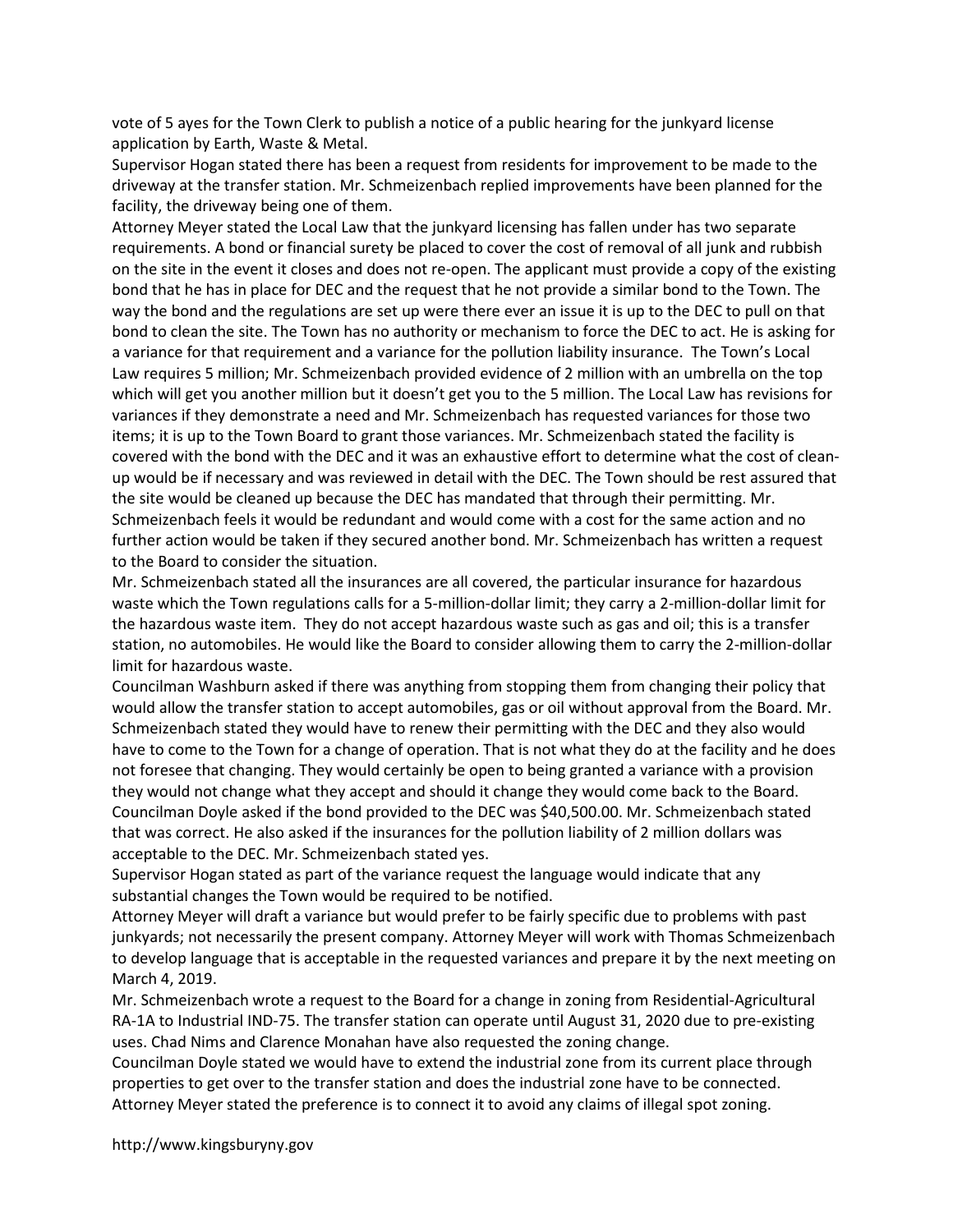vote of 5 ayes for the Town Clerk to publish a notice of a public hearing for the junkyard license application by Earth, Waste & Metal.

Supervisor Hogan stated there has been a request from residents for improvement to be made to the driveway at the transfer station. Mr. Schmeizenbach replied improvements have been planned for the facility, the driveway being one of them.

Attorney Meyer stated the Local Law that the junkyard licensing has fallen under has two separate requirements. A bond or financial surety be placed to cover the cost of removal of all junk and rubbish on the site in the event it closes and does not re-open. The applicant must provide a copy of the existing bond that he has in place for DEC and the request that he not provide a similar bond to the Town. The way the bond and the regulations are set up were there ever an issue it is up to the DEC to pull on that bond to clean the site. The Town has no authority or mechanism to force the DEC to act. He is asking for a variance for that requirement and a variance for the pollution liability insurance. The Town's Local Law requires 5 million; Mr. Schmeizenbach provided evidence of 2 million with an umbrella on the top which will get you another million but it doesn't get you to the 5 million. The Local Law has revisions for variances if they demonstrate a need and Mr. Schmeizenbach has requested variances for those two items; it is up to the Town Board to grant those variances. Mr. Schmeizenbach stated the facility is covered with the bond with the DEC and it was an exhaustive effort to determine what the cost of cleanup would be if necessary and was reviewed in detail with the DEC. The Town should be rest assured that the site would be cleaned up because the DEC has mandated that through their permitting. Mr. Schmeizenbach feels it would be redundant and would come with a cost for the same action and no further action would be taken if they secured another bond. Mr. Schmeizenbach has written a request to the Board to consider the situation.

Mr. Schmeizenbach stated all the insurances are all covered, the particular insurance for hazardous waste which the Town regulations calls for a 5-million-dollar limit; they carry a 2-million-dollar limit for the hazardous waste item. They do not accept hazardous waste such as gas and oil; this is a transfer station, no automobiles. He would like the Board to consider allowing them to carry the 2-million-dollar limit for hazardous waste.

Councilman Washburn asked if there was anything from stopping them from changing their policy that would allow the transfer station to accept automobiles, gas or oil without approval from the Board. Mr. Schmeizenbach stated they would have to renew their permitting with the DEC and they also would have to come to the Town for a change of operation. That is not what they do at the facility and he does not foresee that changing. They would certainly be open to being granted a variance with a provision they would not change what they accept and should it change they would come back to the Board. Councilman Doyle asked if the bond provided to the DEC was \$40,500.00. Mr. Schmeizenbach stated that was correct. He also asked if the insurances for the pollution liability of 2 million dollars was acceptable to the DEC. Mr. Schmeizenbach stated yes.

Supervisor Hogan stated as part of the variance request the language would indicate that any substantial changes the Town would be required to be notified.

Attorney Meyer will draft a variance but would prefer to be fairly specific due to problems with past junkyards; not necessarily the present company. Attorney Meyer will work with Thomas Schmeizenbach to develop language that is acceptable in the requested variances and prepare it by the next meeting on March 4, 2019.

Mr. Schmeizenbach wrote a request to the Board for a change in zoning from Residential-Agricultural RA-1A to Industrial IND-75. The transfer station can operate until August 31, 2020 due to pre-existing uses. Chad Nims and Clarence Monahan have also requested the zoning change.

Councilman Doyle stated we would have to extend the industrial zone from its current place through properties to get over to the transfer station and does the industrial zone have to be connected. Attorney Meyer stated the preference is to connect it to avoid any claims of illegal spot zoning.

http://www.kingsburyny.gov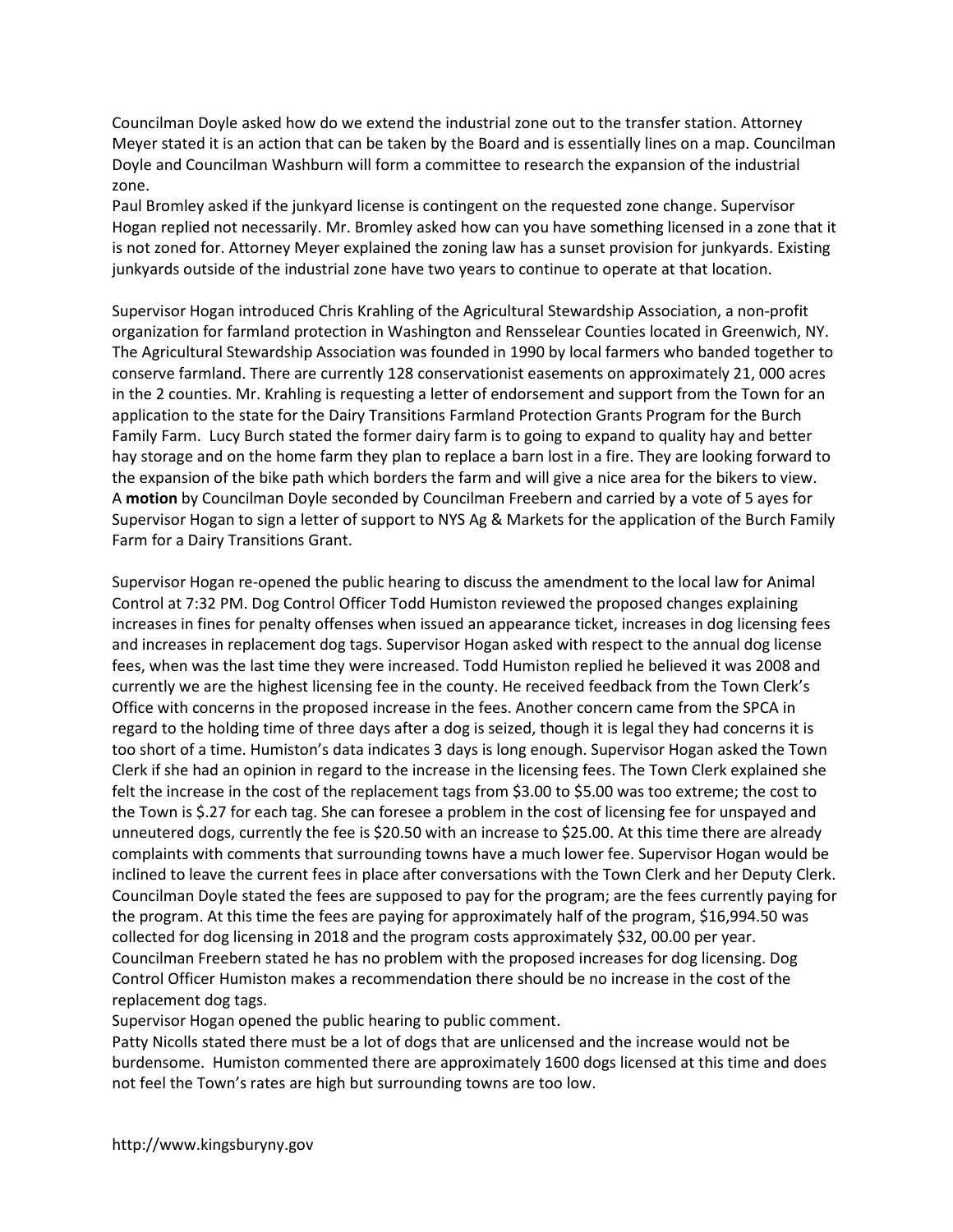Councilman Doyle asked how do we extend the industrial zone out to the transfer station. Attorney Meyer stated it is an action that can be taken by the Board and is essentially lines on a map. Councilman Doyle and Councilman Washburn will form a committee to research the expansion of the industrial zone.

Paul Bromley asked if the junkyard license is contingent on the requested zone change. Supervisor Hogan replied not necessarily. Mr. Bromley asked how can you have something licensed in a zone that it is not zoned for. Attorney Meyer explained the zoning law has a sunset provision for junkyards. Existing junkyards outside of the industrial zone have two years to continue to operate at that location.

Supervisor Hogan introduced Chris Krahling of the Agricultural Stewardship Association, a non-profit organization for farmland protection in Washington and Rensselear Counties located in Greenwich, NY. The Agricultural Stewardship Association was founded in 1990 by local farmers who banded together to conserve farmland. There are currently 128 conservationist easements on approximately 21, 000 acres in the 2 counties. Mr. Krahling is requesting a letter of endorsement and support from the Town for an application to the state for the Dairy Transitions Farmland Protection Grants Program for the Burch Family Farm. Lucy Burch stated the former dairy farm is to going to expand to quality hay and better hay storage and on the home farm they plan to replace a barn lost in a fire. They are looking forward to the expansion of the bike path which borders the farm and will give a nice area for the bikers to view. A motion by Councilman Doyle seconded by Councilman Freebern and carried by a vote of 5 ayes for Supervisor Hogan to sign a letter of support to NYS Ag & Markets for the application of the Burch Family Farm for a Dairy Transitions Grant.

Supervisor Hogan re-opened the public hearing to discuss the amendment to the local law for Animal Control at 7:32 PM. Dog Control Officer Todd Humiston reviewed the proposed changes explaining increases in fines for penalty offenses when issued an appearance ticket, increases in dog licensing fees and increases in replacement dog tags. Supervisor Hogan asked with respect to the annual dog license fees, when was the last time they were increased. Todd Humiston replied he believed it was 2008 and currently we are the highest licensing fee in the county. He received feedback from the Town Clerk's Office with concerns in the proposed increase in the fees. Another concern came from the SPCA in regard to the holding time of three days after a dog is seized, though it is legal they had concerns it is too short of a time. Humiston's data indicates 3 days is long enough. Supervisor Hogan asked the Town Clerk if she had an opinion in regard to the increase in the licensing fees. The Town Clerk explained she felt the increase in the cost of the replacement tags from \$3.00 to \$5.00 was too extreme; the cost to the Town is \$.27 for each tag. She can foresee a problem in the cost of licensing fee for unspayed and unneutered dogs, currently the fee is \$20.50 with an increase to \$25.00. At this time there are already complaints with comments that surrounding towns have a much lower fee. Supervisor Hogan would be inclined to leave the current fees in place after conversations with the Town Clerk and her Deputy Clerk. Councilman Doyle stated the fees are supposed to pay for the program; are the fees currently paying for the program. At this time the fees are paying for approximately half of the program, \$16,994.50 was collected for dog licensing in 2018 and the program costs approximately \$32, 00.00 per year. Councilman Freebern stated he has no problem with the proposed increases for dog licensing. Dog Control Officer Humiston makes a recommendation there should be no increase in the cost of the replacement dog tags.

Supervisor Hogan opened the public hearing to public comment.

Patty Nicolls stated there must be a lot of dogs that are unlicensed and the increase would not be burdensome. Humiston commented there are approximately 1600 dogs licensed at this time and does not feel the Town's rates are high but surrounding towns are too low.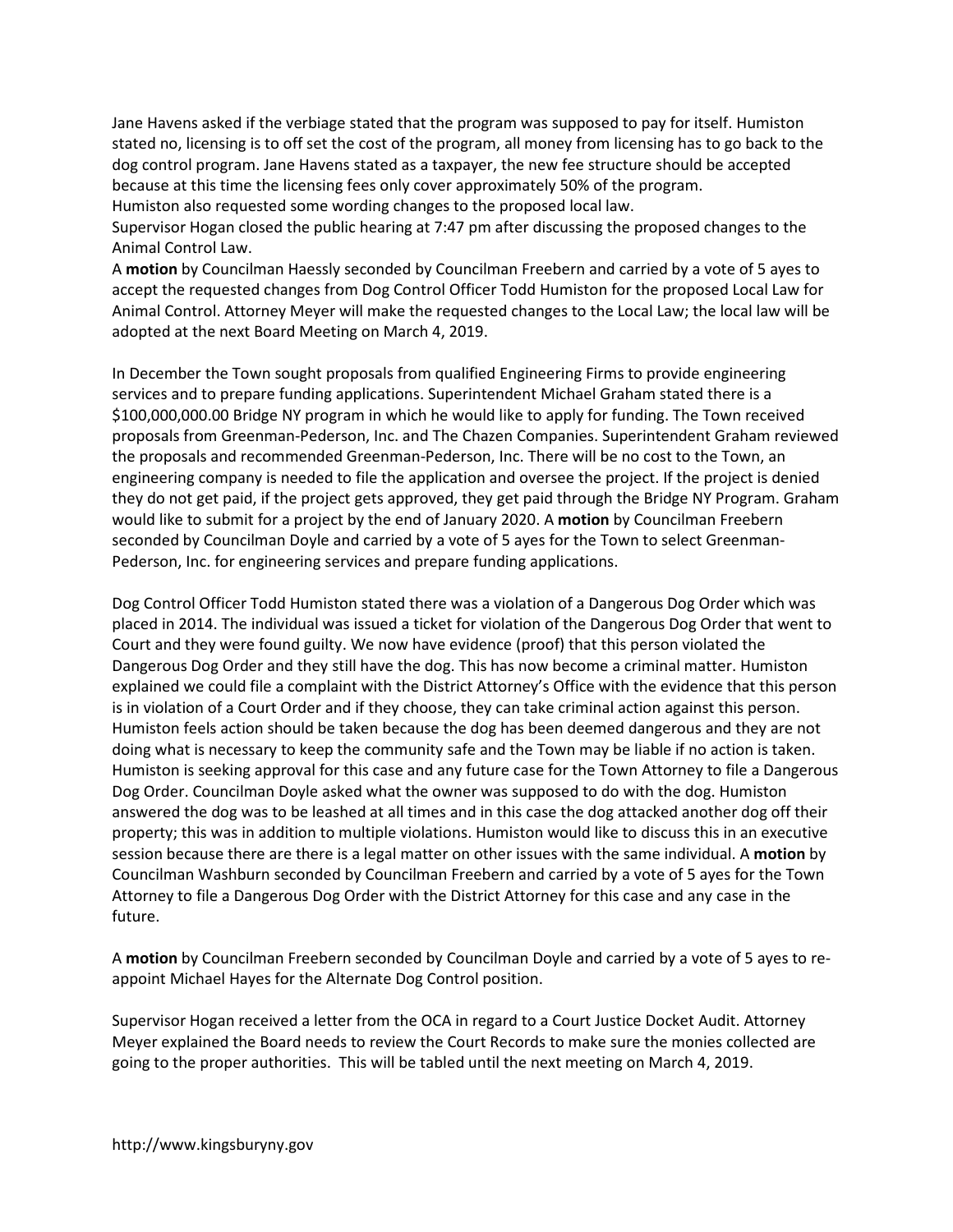Jane Havens asked if the verbiage stated that the program was supposed to pay for itself. Humiston stated no, licensing is to off set the cost of the program, all money from licensing has to go back to the dog control program. Jane Havens stated as a taxpayer, the new fee structure should be accepted because at this time the licensing fees only cover approximately 50% of the program. Humiston also requested some wording changes to the proposed local law.

Supervisor Hogan closed the public hearing at 7:47 pm after discussing the proposed changes to the Animal Control Law.

A motion by Councilman Haessly seconded by Councilman Freebern and carried by a vote of 5 ayes to accept the requested changes from Dog Control Officer Todd Humiston for the proposed Local Law for Animal Control. Attorney Meyer will make the requested changes to the Local Law; the local law will be adopted at the next Board Meeting on March 4, 2019.

In December the Town sought proposals from qualified Engineering Firms to provide engineering services and to prepare funding applications. Superintendent Michael Graham stated there is a \$100,000,000.00 Bridge NY program in which he would like to apply for funding. The Town received proposals from Greenman-Pederson, Inc. and The Chazen Companies. Superintendent Graham reviewed the proposals and recommended Greenman-Pederson, Inc. There will be no cost to the Town, an engineering company is needed to file the application and oversee the project. If the project is denied they do not get paid, if the project gets approved, they get paid through the Bridge NY Program. Graham would like to submit for a project by the end of January 2020. A motion by Councilman Freebern seconded by Councilman Doyle and carried by a vote of 5 ayes for the Town to select Greenman-Pederson, Inc. for engineering services and prepare funding applications.

Dog Control Officer Todd Humiston stated there was a violation of a Dangerous Dog Order which was placed in 2014. The individual was issued a ticket for violation of the Dangerous Dog Order that went to Court and they were found guilty. We now have evidence (proof) that this person violated the Dangerous Dog Order and they still have the dog. This has now become a criminal matter. Humiston explained we could file a complaint with the District Attorney's Office with the evidence that this person is in violation of a Court Order and if they choose, they can take criminal action against this person. Humiston feels action should be taken because the dog has been deemed dangerous and they are not doing what is necessary to keep the community safe and the Town may be liable if no action is taken. Humiston is seeking approval for this case and any future case for the Town Attorney to file a Dangerous Dog Order. Councilman Doyle asked what the owner was supposed to do with the dog. Humiston answered the dog was to be leashed at all times and in this case the dog attacked another dog off their property; this was in addition to multiple violations. Humiston would like to discuss this in an executive session because there are there is a legal matter on other issues with the same individual. A motion by Councilman Washburn seconded by Councilman Freebern and carried by a vote of 5 ayes for the Town Attorney to file a Dangerous Dog Order with the District Attorney for this case and any case in the future.

A motion by Councilman Freebern seconded by Councilman Doyle and carried by a vote of 5 ayes to reappoint Michael Hayes for the Alternate Dog Control position.

Supervisor Hogan received a letter from the OCA in regard to a Court Justice Docket Audit. Attorney Meyer explained the Board needs to review the Court Records to make sure the monies collected are going to the proper authorities. This will be tabled until the next meeting on March 4, 2019.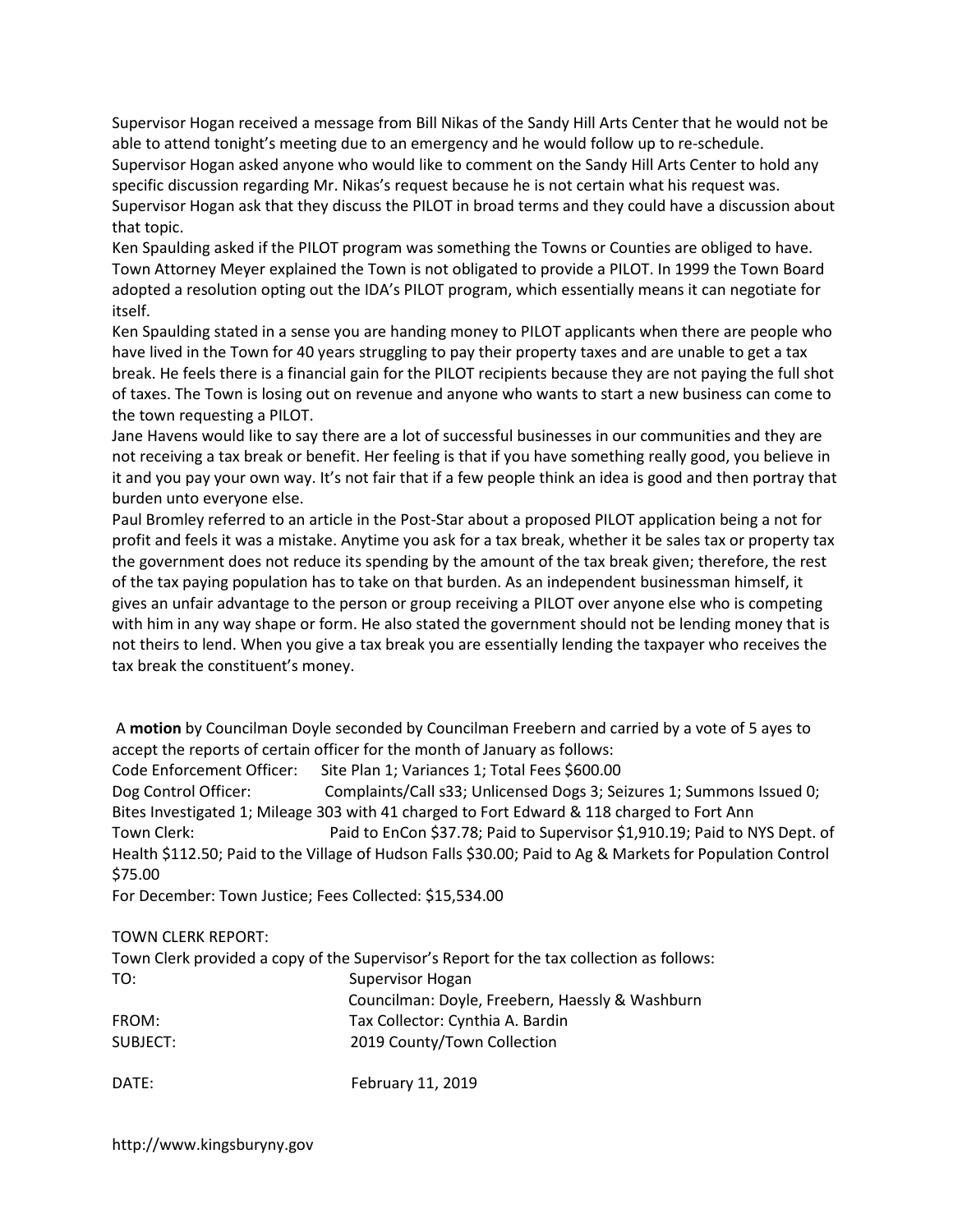Supervisor Hogan received a message from Bill Nikas of the Sandy Hill Arts Center that he would not be able to attend tonight's meeting due to an emergency and he would follow up to re-schedule. Supervisor Hogan asked anyone who would like to comment on the Sandy Hill Arts Center to hold any specific discussion regarding Mr. Nikas's request because he is not certain what his request was. Supervisor Hogan ask that they discuss the PILOT in broad terms and they could have a discussion about that topic.

Ken Spaulding asked if the PILOT program was something the Towns or Counties are obliged to have. Town Attorney Meyer explained the Town is not obligated to provide a PILOT. In 1999 the Town Board adopted a resolution opting out the IDA's PILOT program, which essentially means it can negotiate for itself.

Ken Spaulding stated in a sense you are handing money to PILOT applicants when there are people who have lived in the Town for 40 years struggling to pay their property taxes and are unable to get a tax break. He feels there is a financial gain for the PILOT recipients because they are not paying the full shot of taxes. The Town is losing out on revenue and anyone who wants to start a new business can come to the town requesting a PILOT.

Jane Havens would like to say there are a lot of successful businesses in our communities and they are not receiving a tax break or benefit. Her feeling is that if you have something really good, you believe in it and you pay your own way. It's not fair that if a few people think an idea is good and then portray that burden unto everyone else.

Paul Bromley referred to an article in the Post-Star about a proposed PILOT application being a not for profit and feels it was a mistake. Anytime you ask for a tax break, whether it be sales tax or property tax the government does not reduce its spending by the amount of the tax break given; therefore, the rest of the tax paying population has to take on that burden. As an independent businessman himself, it gives an unfair advantage to the person or group receiving a PILOT over anyone else who is competing with him in any way shape or form. He also stated the government should not be lending money that is not theirs to lend. When you give a tax break you are essentially lending the taxpayer who receives the tax break the constituent's money.

 A motion by Councilman Doyle seconded by Councilman Freebern and carried by a vote of 5 ayes to accept the reports of certain officer for the month of January as follows:

Code Enforcement Officer: Site Plan 1; Variances 1; Total Fees \$600.00

Dog Control Officer: Complaints/Call s33; Unlicensed Dogs 3; Seizures 1; Summons Issued 0; Bites Investigated 1; Mileage 303 with 41 charged to Fort Edward & 118 charged to Fort Ann Town Clerk: Paid to EnCon \$37.78; Paid to Supervisor \$1,910.19; Paid to NYS Dept. of Health \$112.50; Paid to the Village of Hudson Falls \$30.00; Paid to Ag & Markets for Population Control \$75.00

For December: Town Justice; Fees Collected: \$15,534.00

TOWN CLERK REPORT:

| Town Clerk provided a copy of the Supervisor's Report for the tax collection as follows: |                                                 |
|------------------------------------------------------------------------------------------|-------------------------------------------------|
| TO:                                                                                      | Supervisor Hogan                                |
|                                                                                          | Councilman: Doyle, Freebern, Haessly & Washburn |
| FROM:                                                                                    | Tax Collector: Cynthia A. Bardin                |
| SUBJECT:                                                                                 | 2019 County/Town Collection                     |
| DATE:                                                                                    | February 11, 2019                               |